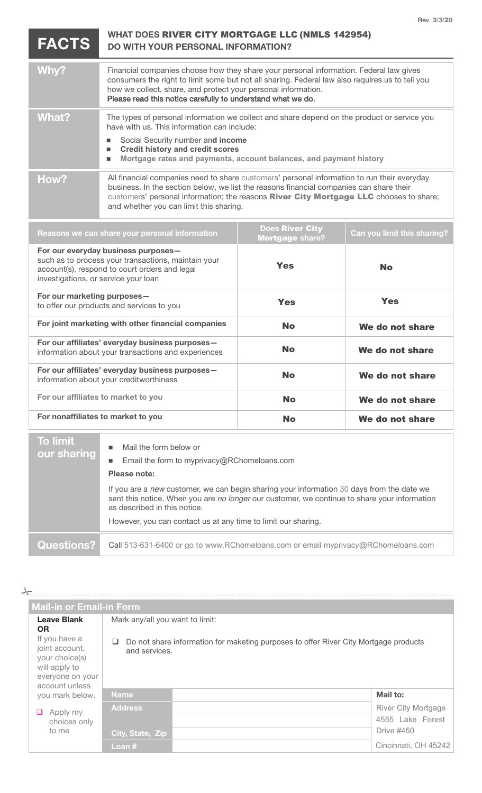**FACTS**

## **WHAT DOES** RIVER CITY MORTGAGE LLC (NMLS 142954) **DO WITH YOUR PERSONAL INFORMATION?**

| Why?  | Financial companies choose how they share your personal information. Federal law gives<br>consumers the right to limit some but not all sharing. Federal law also requires us to tell you<br>how we collect, share, and protect your personal information.<br>Please read this notice carefully to understand what we do.          |
|-------|------------------------------------------------------------------------------------------------------------------------------------------------------------------------------------------------------------------------------------------------------------------------------------------------------------------------------------|
| What? | The types of personal information we collect and share depend on the product or service you<br>have with us. This information can include:<br>Social Security number and income<br><b>Credit history and credit scores</b><br>п<br>Mortgage rates and payments, account balances, and payment history<br>п                         |
| How?  | All financial companies need to share customers' personal information to run their everyday<br>business. In the section below, we list the reasons financial companies can share their<br>customers' personal information; the reasons <b>River City Mortgage LLC</b> chooses to share;<br>and whether you can limit this sharing. |

| Reasons we can share your personal information                                                                                                                                      | <b>Does River City</b><br><b>Mortgage share?</b> | Can you limit this sharing? |
|-------------------------------------------------------------------------------------------------------------------------------------------------------------------------------------|--------------------------------------------------|-----------------------------|
| For our everyday business purposes-<br>such as to process your transactions, maintain your<br>account(s), respond to court orders and legal<br>investigations, or service your loan | <b>Yes</b>                                       | <b>No</b>                   |
| For our marketing purposes-<br>to offer our products and services to you                                                                                                            | <b>Yes</b>                                       | <b>Yes</b>                  |
| For joint marketing with other financial companies                                                                                                                                  | <b>No</b>                                        | We do not share             |
| For our affiliates' everyday business purposes-<br>information about your transactions and experiences                                                                              | <b>No</b>                                        | We do not share             |
| For our affiliates' everyday business purposes-<br>information about your creditworthiness                                                                                          | <b>No</b>                                        | We do not share             |
| For our affiliates to market to you                                                                                                                                                 | <b>No</b>                                        | We do not share             |
| For nonaffiliates to market to you                                                                                                                                                  | <b>No</b>                                        | We do not share             |
|                                                                                                                                                                                     |                                                  |                             |

| <b>To limit</b><br>our sharing | Mail the form below or<br>Email the form to myprivacy@RChomeloans.com<br>Please note:<br>If you are a new customer, we can begin sharing your information 30 days from the date we<br>sent this notice. When you are no longer our customer, we continue to share your information<br>as described in this notice.<br>However, you can contact us at any time to limit our sharing. |
|--------------------------------|-------------------------------------------------------------------------------------------------------------------------------------------------------------------------------------------------------------------------------------------------------------------------------------------------------------------------------------------------------------------------------------|
| <b>Questions?</b>              | Call 513-631-6400 or go to www.RChomeloans.com or email myprivacy@RChomeloans.com                                                                                                                                                                                                                                                                                                   |

| $\frac{1}{2}$                                                                                                                               |                                                       |                                                                                      |                                                              |
|---------------------------------------------------------------------------------------------------------------------------------------------|-------------------------------------------------------|--------------------------------------------------------------------------------------|--------------------------------------------------------------|
| <b>Mail-in or Email-in Form</b>                                                                                                             |                                                       |                                                                                      |                                                              |
| <b>Leave Blank</b><br><b>OR</b><br>If you have a<br>joint account,<br>your choice(s)<br>will apply to<br>everyone on your<br>account unless | Mark any/all you want to limit:<br>ப<br>and services. | Do not share information for maketing purposes to offer River City Mortgage products |                                                              |
| you mark below.                                                                                                                             | Name.                                                 |                                                                                      | Mail to:                                                     |
| Apply my<br>choices only<br>to me                                                                                                           | <b>Address</b><br>City, State, Zip                    |                                                                                      | River City Mortgage<br>4555 Lake Forest<br><b>Drive #450</b> |
|                                                                                                                                             | Loan #                                                |                                                                                      | Cincinnati, OH 45242                                         |